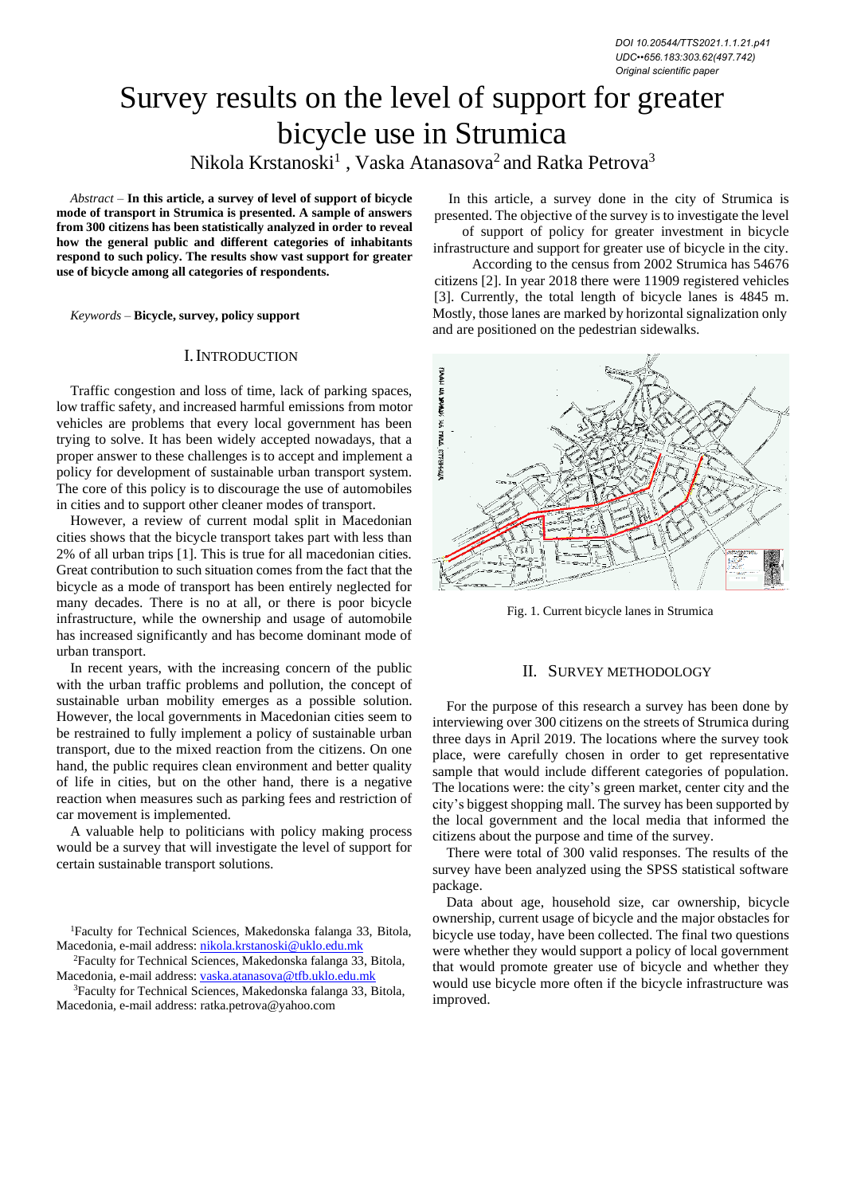# Survey results on the level of support for greater bicycle use in Strumica Nikola Krstanoski<sup>1</sup> , Vaska Atanasova<sup>2</sup> and Ratka Petrova<sup>3</sup>

*Abstract –* **In this article, a survey of level of support of bicycle mode of transport in Strumica is presented. A sample of answers from 300 citizens has been statistically analyzed in order to reveal how the general public and different categories of inhabitants respond to such policy. The results show vast support for greater use of bicycle among all categories of respondents.**

*Keywords –* **Bicycle, survey, policy support**

### I.INTRODUCTION

Traffic congestion and loss of time, lack of parking spaces, low traffic safety, and increased harmful emissions from motor vehicles are problems that every local government has been trying to solve. It has been widely accepted nowadays, that a proper answer to these challenges is to accept and implement a policy for development of sustainable urban transport system. The core of this policy is to discourage the use of automobiles in cities and to support other cleaner modes of transport.

However, a review of current modal split in Macedonian cities shows that the bicycle transport takes part with less than 2% of all urban trips [1]. This is true for all macedonian cities. Great contribution to such situation comes from the fact that the bicycle as a mode of transport has been entirely neglected for many decades. There is no at all, or there is poor bicycle infrastructure, while the ownership and usage of automobile has increased significantly and has become dominant mode of urban transport.

In recent years, with the increasing concern of the public with the urban traffic problems and pollution, the concept of sustainable urban mobility emerges as a possible solution. However, the local governments in Macedonian cities seem to be restrained to fully implement a policy of sustainable urban transport, due to the mixed reaction from the citizens. On one hand, the public requires clean environment and better quality of life in cities, but on the other hand, there is a negative reaction when measures such as parking fees and restriction of car movement is implemented.

A valuable help to politicians with policy making process would be a survey that will investigate the level of support for certain sustainable transport solutions.

<sup>1</sup>Faculty for Technical Sciences, Makedonska falanga 33, Bitola, Macedonia, e-mail address: [nikola.krstanoski@uklo.edu.mk](mailto:nikola.krstanoski@uklo.edu.mk)

<sup>2</sup>Faculty for Technical Sciences, Makedonska falanga 33, Bitola, Macedonia, e-mail address: [vaska.atanasova@tfb.uklo.edu.mk](mailto:vaska.atanasova@tfb.uklo.edu.mk)

<sup>3</sup>Faculty for Technical Sciences, Makedonska falanga 33, Bitola, Macedonia, e-mail address: [ratka.petrova@yahoo.com](mailto:ratka.petrova@yahoo.com)

In this article, a survey done in the city of Strumica is presented. The objective of the survey is to investigate the level

of support of policy for greater investment in bicycle infrastructure and support for greater use of bicycle in the city.

According to the census from 2002 Strumica has 54676 citizens [2]. In year 2018 there were 11909 registered vehicles [3]. Currently, the total length of bicycle lanes is 4845 m. Mostly, those lanes are marked by horizontal signalization only and are positioned on the pedestrian sidewalks.



Fig. 1. Current bicycle lanes in Strumica

# II. SURVEY METHODOLOGY

For the purpose of this research a survey has been done by interviewing over 300 citizens on the streets of Strumica during three days in April 2019. The locations where the survey took place, were carefully chosen in order to get representative sample that would include different categories of population. The locations were: the city's green market, center city and the city's biggest shopping mall. The survey has been supported by the local government and the local media that informed the citizens about the purpose and time of the survey.

There were total of 300 valid responses. The results of the survey have been analyzed using the SPSS statistical software package.

Data about age, household size, car ownership, bicycle ownership, current usage of bicycle and the major obstacles for bicycle use today, have been collected. The final two questions were whether they would support a policy of local government that would promote greater use of bicycle and whether they would use bicycle more often if the bicycle infrastructure was improved.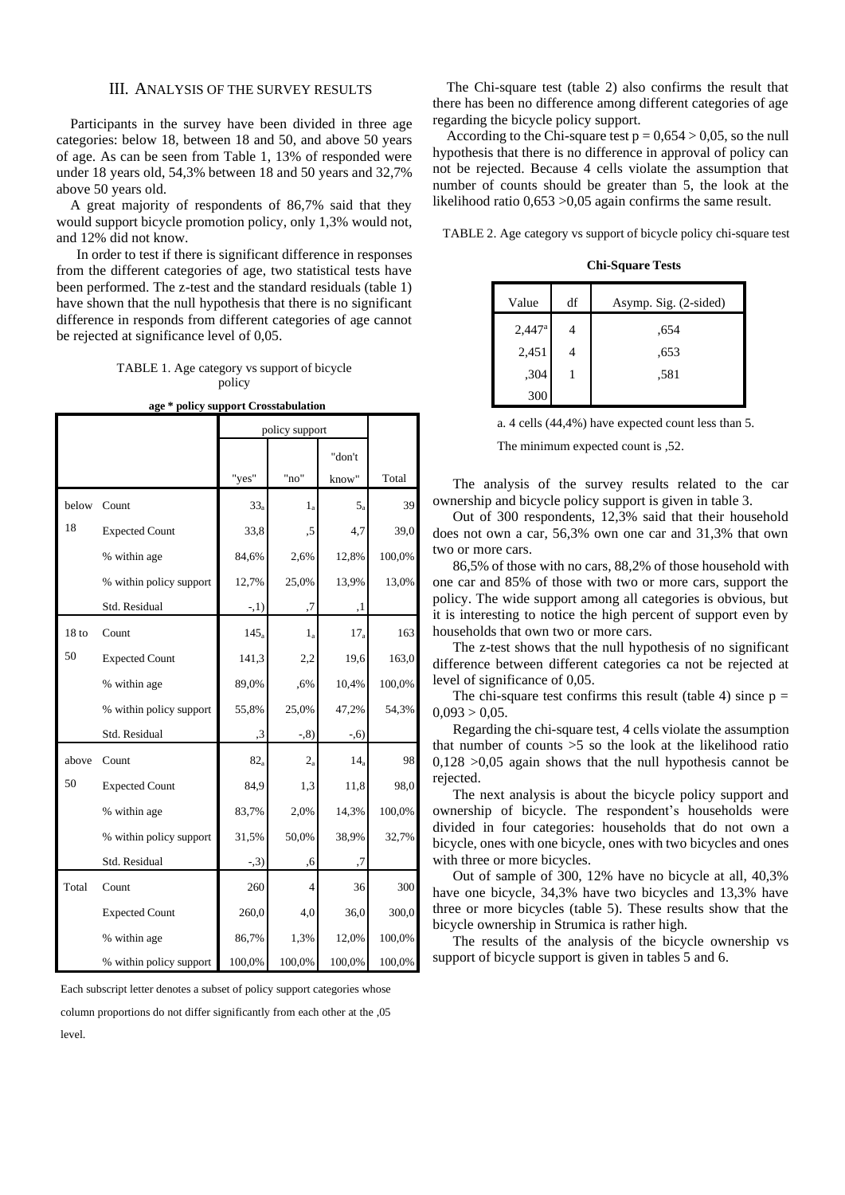### III. ANALYSIS OF THE SURVEY RESULTS

Participants in the survey have been divided in three age categories: below 18, between 18 and 50, and above 50 years of age. As can be seen from Table 1, 13% of responded were under 18 years old, 54,3% between 18 and 50 years and 32,7% above 50 years old.

A great majority of respondents of 86,7% said that they would support bicycle promotion policy, only 1,3% would not, and 12% did not know.

In order to test if there is significant difference in responses from the different categories of age, two statistical tests have been performed. The z-test and the standard residuals (table 1) have shown that the null hypothesis that there is no significant difference in responds from different categories of age cannot be rejected at significance level of 0,05.

TABLE 1. Age category vs support of bicycle policy

|  | age * policy support Crosstabulation |
|--|--------------------------------------|

|                  |                         |         | policy support |                 |        |  |  |
|------------------|-------------------------|---------|----------------|-----------------|--------|--|--|
|                  |                         |         |                | "don't          |        |  |  |
|                  |                         | "yes"   | "no"           | know"           | Total  |  |  |
| below            | Count                   | $33_a$  | $1_a$          | $5_a$           | 39     |  |  |
| 18               | <b>Expected Count</b>   | 33,8    | ,5             | 4,7             | 39,0   |  |  |
|                  | % within age            | 84,6%   | 2,6%           | 12,8%           | 100,0% |  |  |
|                  | % within policy support | 12,7%   | 25,0%          | 13,9%           | 13,0%  |  |  |
|                  | Std. Residual           | $-1)$   | ,7             | ,1              |        |  |  |
| 18 <sub>to</sub> | Count                   | $145_a$ | $1_{\rm a}$    | 17 <sub>a</sub> | 163    |  |  |
| 50               | <b>Expected Count</b>   | 141,3   | 2,2            | 19,6            | 163,0  |  |  |
|                  | % within age            | 89,0%   | ,6%            | 10,4%           | 100,0% |  |  |
|                  | % within policy support | 55,8%   | 25,0%          | 47,2%           | 54,3%  |  |  |
|                  | Std. Residual           | ,3      | $-0.8$         | $-0.6$          |        |  |  |
| above            | Count                   | $82_a$  | $2_{a}$        | 14 <sub>a</sub> | 98     |  |  |
| 50               | <b>Expected Count</b>   | 84,9    | 1,3            | 11,8            | 98,0   |  |  |
|                  | % within age            | 83,7%   | 2,0%           | 14,3%           | 100,0% |  |  |
|                  | % within policy support | 31,5%   | 50,0%          | 38,9%           | 32,7%  |  |  |
|                  | Std. Residual           | $-3)$   | ,6             | ,7              |        |  |  |
| Total            | Count                   | 260     | $\overline{4}$ | 36              | 300    |  |  |
|                  | <b>Expected Count</b>   | 260,0   | 4,0            | 36,0            | 300,0  |  |  |
|                  | % within age            | 86,7%   | 1,3%           | 12,0%           | 100,0% |  |  |
|                  | % within policy support | 100,0%  | 100,0%         | 100,0%          | 100,0% |  |  |

Each subscript letter denotes a subset of policy support categories whose

column proportions do not differ significantly from each other at the ,05 level.

The Chi-square test (table 2) also confirms the result that there has been no difference among different categories of age regarding the bicycle policy support.

According to the Chi-square test  $p = 0.654 > 0.05$ , so the null hypothesis that there is no difference in approval of policy can not be rejected. Because 4 cells violate the assumption that number of counts should be greater than 5, the look at the likelihood ratio 0,653 >0,05 again confirms the same result.

TABLE 2. Age category vs support of bicycle policy chi-square test

**Chi-Square Tests**

| Value           | df | Asymp. Sig. (2-sided) |
|-----------------|----|-----------------------|
| $2,447^{\rm a}$ |    | .654                  |
| 2,451           |    | .653                  |
| ,304            |    | .581                  |
| 300             |    |                       |

|  | a. 4 cells (44,4%) have expected count less than 5. |  |
|--|-----------------------------------------------------|--|
|--|-----------------------------------------------------|--|

The minimum expected count is ,52.

The analysis of the survey results related to the car ownership and bicycle policy support is given in table 3.

Out of 300 respondents, 12,3% said that their household does not own a car, 56,3% own one car and 31,3% that own two or more cars.

86,5% of those with no cars, 88,2% of those household with one car and 85% of those with two or more cars, support the policy. The wide support among all categories is obvious, but it is interesting to notice the high percent of support even by households that own two or more cars.

The z-test shows that the null hypothesis of no significant difference between different categories ca not be rejected at level of significance of 0,05.

The chi-square test confirms this result (table 4) since  $p =$  $0,093 > 0,05$ .

Regarding the chi-square test, 4 cells violate the assumption that number of counts >5 so the look at the likelihood ratio  $0,128$   $>0,05$  again shows that the null hypothesis cannot be rejected.

The next analysis is about the bicycle policy support and ownership of bicycle. The respondent's households were divided in four categories: households that do not own a bicycle, ones with one bicycle, ones with two bicycles and ones with three or more bicycles.

Out of sample of 300, 12% have no bicycle at all, 40,3% have one bicycle, 34,3% have two bicycles and 13,3% have three or more bicycles (table 5). These results show that the bicycle ownership in Strumica is rather high.

The results of the analysis of the bicycle ownership vs support of bicycle support is given in tables 5 and 6.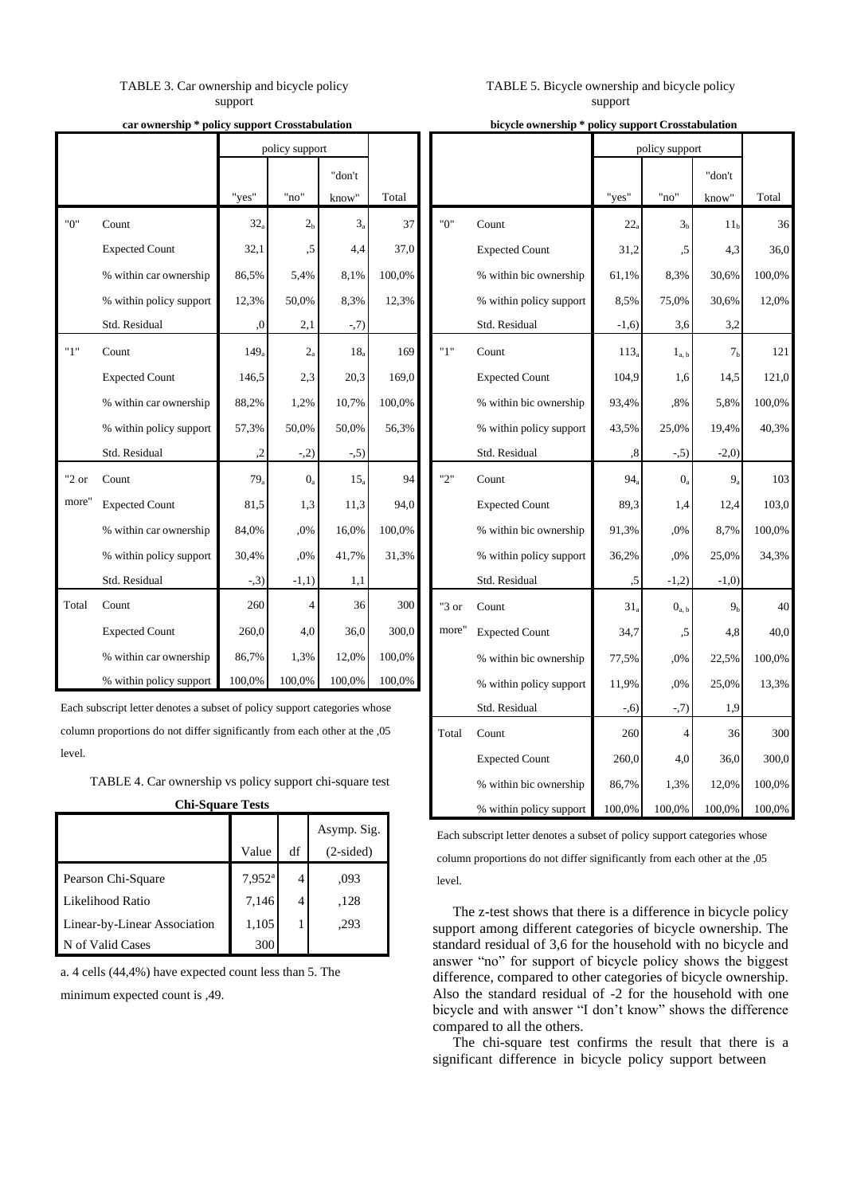# TABLE 3. Car ownership and bicycle policy support

#### **car ownership \* policy support Crosstabulation**

|       |                         | policy support |                |                 |        |
|-------|-------------------------|----------------|----------------|-----------------|--------|
|       |                         |                |                | "don't          |        |
|       |                         | "yes"          | "no"           | know"           | Total  |
| "በ"   | Count                   | $32_a$         | 2 <sub>h</sub> | $3_a$           | 37     |
|       | <b>Expected Count</b>   | 32,1           | ,5             | 4,4             | 37,0   |
|       | % within car ownership  | 86,5%          | 5,4%           | 8.1%            | 100,0% |
|       | % within policy support | 12,3%          | 50,0%          | 8,3%            | 12,3%  |
|       | Std. Residual           | $\cdot$ 0.     | 2,1            | $-7)$           |        |
| "1"   | Count                   | $149_a$        | $2_{a}$        | 18 <sub>a</sub> | 169    |
|       | <b>Expected Count</b>   | 146,5          | 2,3            | 20,3            | 169,0  |
|       | % within car ownership  | 88,2%          | 1,2%           | 10,7%           | 100,0% |
|       | % within policy support | 57,3%          | 50,0%          | 50,0%           | 56,3%  |
|       | Std. Residual           | $\cdot$        | $-2)$          | $-5)$           |        |
| "2 or | Count                   | $79_a$         | $0_a$          | $15_a$          | 94     |
| more" | <b>Expected Count</b>   | 81,5           | 1,3            | 11,3            | 94,0   |
|       | % within car ownership  | 84,0%          | ,0%            | 16,0%           | 100,0% |
|       | % within policy support | 30,4%          | ,0%            | 41,7%           | 31,3%  |
|       | Std. Residual           | $-3)$          | $-1,1)$        | 1,1             |        |
| Total | Count                   | 260            | 4              | 36              | 300    |
|       | <b>Expected Count</b>   | 260,0          | 4,0            | 36,0            | 300,0  |
|       | % within car ownership  | 86,7%          | 1,3%           | 12,0%           | 100,0% |
|       | % within policy support | 100,0%         | 100,0%         | 100,0%          | 100,0% |

Each subscript letter denotes a subset of policy support categories whose column proportions do not differ significantly from each other at the ,05 level.

TABLE 4. Car ownership vs policy support chi-square test **Chi-Square Tests**

|                              |                      |    | Asymp. Sig. |
|------------------------------|----------------------|----|-------------|
|                              | Value                | df | $(2-sided)$ |
| Pearson Chi-Square           | $7,952$ <sup>a</sup> |    | .093        |
| Likelihood Ratio             | 7,146                | 4  | ,128        |
| Linear-by-Linear Association | 1,105                |    | .293        |
| N of Valid Cases             | 300                  |    |             |

a. 4 cells (44,4%) have expected count less than 5. The minimum expected count is ,49.

# TABLE 5. Bicycle ownership and bicycle policy support

**bicycle ownership \* policy support Crosstabulation**

|       |                         |                  | policy support        |                 |        |
|-------|-------------------------|------------------|-----------------------|-----------------|--------|
|       |                         |                  |                       | "don't          |        |
|       |                         | "yes"            | "no"                  | know"           | Total  |
| "0"   | Count                   | $22_a$           | 3 <sub>b</sub>        | 11 <sub>h</sub> | 36     |
|       | <b>Expected Count</b>   | 31,2             | ,5                    | 4,3             | 36,0   |
|       | % within bic ownership  | 61,1%            | 8,3%                  | 30,6%           | 100,0% |
|       | % within policy support | 8,5%             | 75,0%                 | 30,6%           | 12,0%  |
|       | Std. Residual           | $-1,6)$          | 3,6                   | 3,2             |        |
| "1"   | Count                   | 113 <sub>a</sub> | $1_{a,\;b}$           | 7 <sub>b</sub>  | 121    |
|       | <b>Expected Count</b>   | 104,9            | 1,6                   | 14,5            | 121,0  |
|       | % within bic ownership  | 93,4%            | ,8%                   | 5,8%            | 100,0% |
|       | % within policy support | 43,5%            | 25,0%                 | 19,4%           | 40,3%  |
|       | Std. Residual           | $^\mathrm{,8}$   | -,5)                  | $-2,0)$         |        |
| "2"   | Count                   | 94 <sub>a</sub>  | $0_a$                 | $9_a$           | 103    |
|       | <b>Expected Count</b>   | 89,3             | 1,4                   | 12,4            | 103,0  |
|       | % within bic ownership  | 91,3%            | ,0%                   | 8,7%            | 100,0% |
|       | % within policy support | 36,2%            | ,0%                   | 25,0%           | 34,3%  |
|       | Std. Residual           | ,5               | $-1,2)$               | $-1,0)$         |        |
| "3 or | Count                   | $31_a$           | ${\bf 0}_{\rm a,\ b}$ | 9 <sub>b</sub>  | 40     |
| more" | <b>Expected Count</b>   | 34,7             | ,5                    | 4,8             | 40,0   |
|       | % within bic ownership  | 77,5%            | ,0%                   | 22,5%           | 100,0% |
|       | % within policy support | 11,9%            | .0%                   | 25,0%           | 13,3%  |
|       | Std. Residual           | $-0.6$           | $-0.7)$               | 1,9             |        |
| Total | Count                   | 260              | 4                     | 36              | 300    |
|       | <b>Expected Count</b>   | 260,0            | 4,0                   | 36,0            | 300,0  |
|       | % within bic ownership  | 86,7%            | 1,3%                  | 12,0%           | 100,0% |
|       | % within policy support | 100,0%           | 100,0%                | 100,0%          | 100,0% |

Each subscript letter denotes a subset of policy support categories whose column proportions do not differ significantly from each other at the ,05 level.

The z-test shows that there is a difference in bicycle policy support among different categories of bicycle ownership. The standard residual of 3,6 for the household with no bicycle and answer "no" for support of bicycle policy shows the biggest difference, compared to other categories of bicycle ownership. Also the standard residual of -2 for the household with one bicycle and with answer "I don't know" shows the difference compared to all the others.

The chi-square test confirms the result that there is a significant difference in bicycle policy support between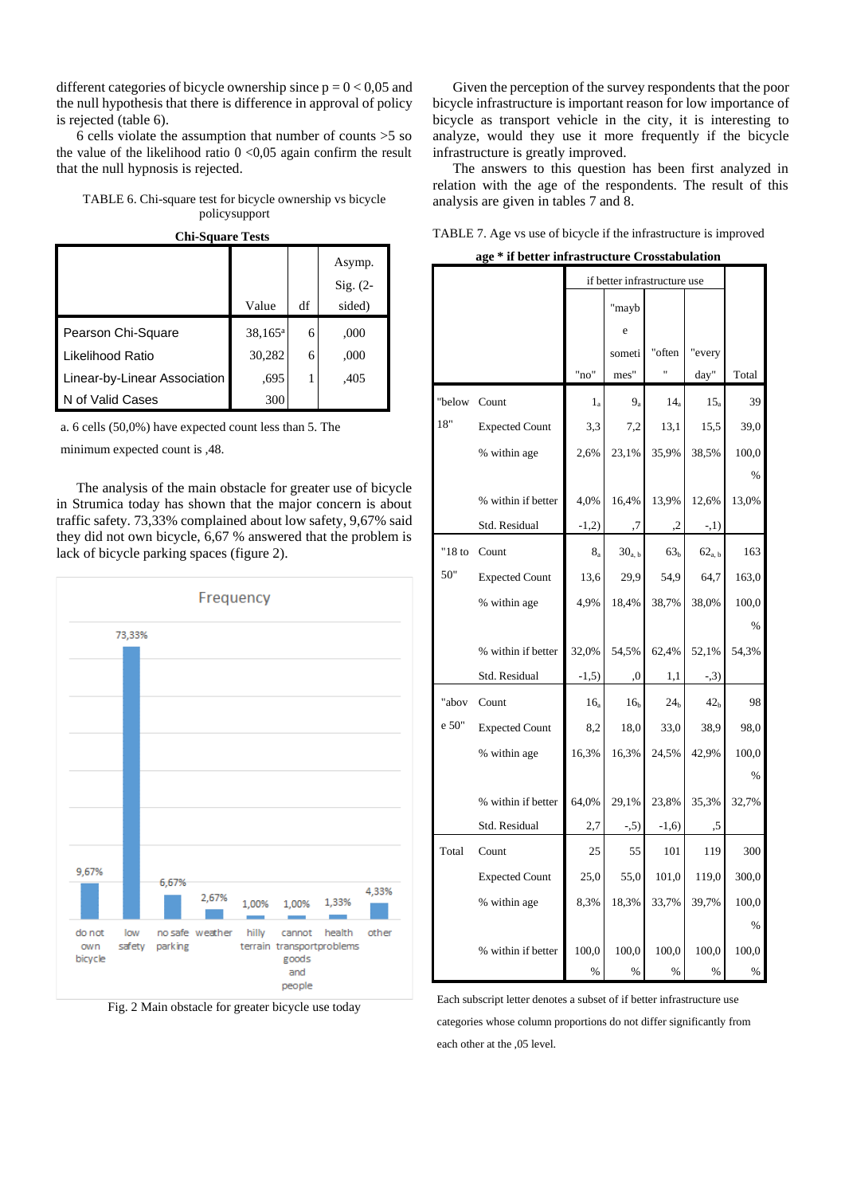different categories of bicycle ownership since  $p = 0 < 0.05$  and the null hypothesis that there is difference in approval of policy is rejected (table 6).

6 cells violate the assumption that number of counts >5 so the value of the likelihood ratio  $0 < 0.05$  again confirm the result that the null hypnosis is rejected.

TABLE 6. Chi-square test for bicycle ownership vs bicycle policysupport



|                              |            |    | Asymp.     |
|------------------------------|------------|----|------------|
|                              |            |    | $Sig. (2-$ |
|                              | Value      | df | sided)     |
| Pearson Chi-Square           | $38,165^a$ | 6  | ,000       |
| Likelihood Ratio             | 30,282     | 6  | ,000       |
| Linear-by-Linear Association | .695       |    | .405       |
| N of Valid Cases             | 300        |    |            |

a. 6 cells (50,0%) have expected count less than 5. The

minimum expected count is ,48.

The analysis of the main obstacle for greater use of bicycle in Strumica today has shown that the major concern is about traffic safety. 73,33% complained about low safety, 9,67% said they did not own bicycle, 6,67 % answered that the problem is lack of bicycle parking spaces (figure 2).



Fig. 2 Main obstacle for greater bicycle use today

Given the perception of the survey respondents that the poor bicycle infrastructure is important reason for low importance of bicycle as transport vehicle in the city, it is interesting to analyze, would they use it more frequently if the bicycle infrastructure is greatly improved.

The answers to this question has been first analyzed in relation with the age of the respondents. The result of this analysis are given in tables 7 and 8.

| TABLE 7. Age vs use of bicycle if the infrastructure is improved |  |  |
|------------------------------------------------------------------|--|--|
|                                                                  |  |  |

**age \* if better infrastructure Crosstabulation**

|           |                       |                 | if better infrastructure use |                 |                    |               |  |
|-----------|-----------------------|-----------------|------------------------------|-----------------|--------------------|---------------|--|
|           |                       |                 | "mayb                        |                 |                    |               |  |
|           |                       |                 | e                            |                 |                    |               |  |
|           |                       |                 | someti                       | "often          | "every             |               |  |
|           |                       | "no"            | mes"                         | 11              | day"               | Total         |  |
| "below    | Count                 | $1_a$           | $9_{3}$                      | $14_{\rm a}$    | 15 <sub>a</sub>    | 39            |  |
| 18"       | <b>Expected Count</b> | 3,3             | 7,2                          | 13,1            | 15,5               | 39,0          |  |
|           | % within age          | 2,6%            | 23,1%                        | 35,9%           | 38,5%              | 100,0         |  |
|           |                       |                 |                              |                 |                    | %             |  |
|           | % within if better    | 4,0%            | 16,4%                        | 13,9%           | 12,6%              | 13,0%         |  |
|           | Std. Residual         | $-1,2)$         | ,7                           | ,2              | $-1)$              |               |  |
| " $18$ to | Count                 | $8_{\rm a}$     | 30 <sub>a, b</sub>           | 63 <sub>b</sub> | 62 <sub>a, b</sub> | 163           |  |
| 50"       | <b>Expected Count</b> | 13,6            | 29,9                         | 54,9            | 64,7               | 163,0         |  |
|           | % within age          | 4.9%            | 18,4%                        | 38,7%           | 38,0%              | 100,0         |  |
|           |                       |                 |                              |                 |                    | $\%$          |  |
|           | % within if better    | 32,0%           | 54,5%                        | 62,4%           | 52,1%              | 54,3%         |  |
|           | Std. Residual         | $-1,5)$         | ,0                           | 1,1             | $-3)$              |               |  |
| "abov     | Count                 | 16 <sub>a</sub> | 16 <sub>b</sub>              | 24 <sub>h</sub> | 42 <sub>h</sub>    | 98            |  |
| e 50"     | <b>Expected Count</b> | 8,2             | 18,0                         | 33,0            | 38,9               | 98,0          |  |
|           | % within age          | 16,3%           | 16,3%                        | 24,5%           | 42,9%              | 100,0         |  |
|           |                       |                 |                              |                 |                    | $\frac{0}{6}$ |  |
|           | % within if better    | 64,0%           | 29,1%                        | 23,8%           | 35,3%              | 32,7%         |  |
|           | Std. Residual         | 2,7             | $-5)$                        | $-1,6)$         | .5                 |               |  |
| Total     | Count                 | 25              | 55                           | 101             | 119                | 300           |  |
|           | <b>Expected Count</b> | 25,0            | 55,0                         | 101,0           | 119,0              | 300,0         |  |
|           | % within age          | 8,3%            | 18,3%                        | 33,7%           | 39,7%              | 100,0         |  |
|           |                       |                 |                              |                 |                    | %             |  |
|           | % within if better    | 100,0           | 100,0                        | 100,0           | 100,0              | 100,0         |  |
|           |                       | $\%$            | $\frac{0}{0}$                | $\%$            | $\%$               | %             |  |

Each subscript letter denotes a subset of if better infrastructure use categories whose column proportions do not differ significantly from each other at the ,05 level.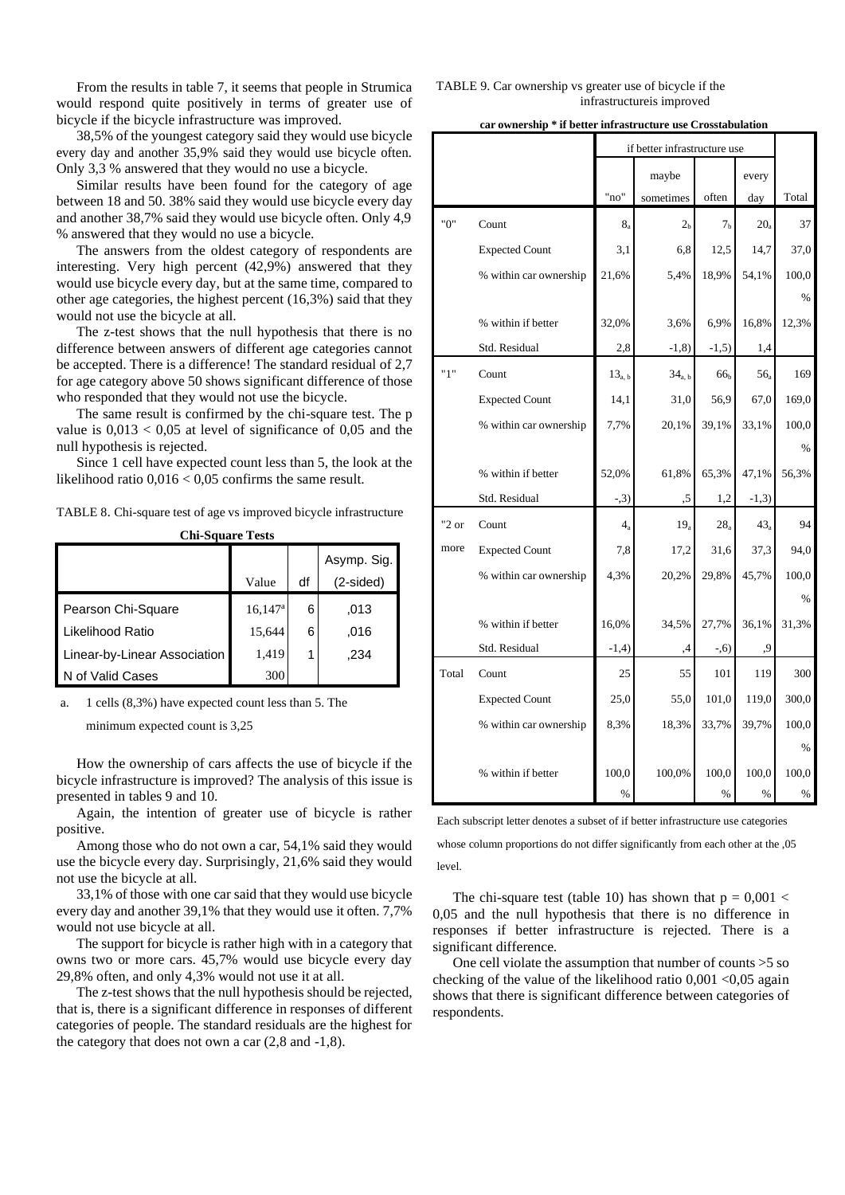From the results in table 7, it seems that people in Strumica would respond quite positively in terms of greater use of bicycle if the bicycle infrastructure was improved.

38,5% of the youngest category said they would use bicycle every day and another 35,9% said they would use bicycle often. Only 3,3 % answered that they would no use a bicycle.

Similar results have been found for the category of age between 18 and 50. 38% said they would use bicycle every day and another 38,7% said they would use bicycle often. Only 4,9 % answered that they would no use a bicycle.

The answers from the oldest category of respondents are interesting. Very high percent (42,9%) answered that they would use bicycle every day, but at the same time, compared to other age categories, the highest percent (16,3%) said that they would not use the bicycle at all.

The z-test shows that the null hypothesis that there is no difference between answers of different age categories cannot be accepted. There is a difference! The standard residual of 2,7 for age category above 50 shows significant difference of those who responded that they would not use the bicycle.

The same result is confirmed by the chi-square test. The p value is  $0.013 < 0.05$  at level of significance of 0.05 and the null hypothesis is rejected.

Since 1 cell have expected count less than 5, the look at the likelihood ratio  $0.016 < 0.05$  confirms the same result.

TABLE 8. Chi-square test of age vs improved bicycle infrastructure

|  | <b>Chi-Square Tests</b> |
|--|-------------------------|
|--|-------------------------|

|                              |                       |    | Asymp. Sig. |
|------------------------------|-----------------------|----|-------------|
|                              | Value                 | df | $(2-sided)$ |
| Pearson Chi-Square           | $16,147$ <sup>a</sup> | 6  | .013        |
| Likelihood Ratio             | 15,644                | 6  | .016        |
| Linear-by-Linear Association | 1,419                 |    | .234        |
| N of Valid Cases             | 300                   |    |             |

a. 1 cells (8,3%) have expected count less than 5. The minimum expected count is 3,25

How the ownership of cars affects the use of bicycle if the bicycle infrastructure is improved? The analysis of this issue is presented in tables 9 and 10.

Again, the intention of greater use of bicycle is rather positive.

Among those who do not own a car, 54,1% said they would use the bicycle every day. Surprisingly, 21,6% said they would not use the bicycle at all.

33,1% of those with one car said that they would use bicycle every day and another 39,1% that they would use it often. 7,7% would not use bicycle at all.

The support for bicycle is rather high with in a category that owns two or more cars. 45,7% would use bicycle every day 29,8% often, and only 4,3% would not use it at all.

The z-test shows that the null hypothesis should be rejected, that is, there is a significant difference in responses of different categories of people. The standard residuals are the highest for the category that does not own a car (2,8 and -1,8).

TABLE 9. Car ownership vs greater use of bicycle if the infrastructureis improved

**car ownership \* if better infrastructure use Crosstabulation**

|          |                        | if better infrastructure use |                    |                 |         |       |
|----------|------------------------|------------------------------|--------------------|-----------------|---------|-------|
|          |                        |                              | maybe              |                 | every   |       |
|          |                        | "no"                         | sometimes          | often           | day     | Total |
| "0"      | Count                  | $8_{a}$                      | 2 <sub>h</sub>     | 7 <sub>b</sub>  | $20_a$  | 37    |
|          | <b>Expected Count</b>  | 3,1                          | 6,8                | 12,5            | 14,7    | 37,0  |
|          | % within car ownership | 21,6%                        | 5,4%               | 18,9%           | 54,1%   | 100,0 |
|          |                        |                              |                    |                 |         | $\%$  |
|          | % within if better     | 32,0%                        | 3,6%               | 6,9%            | 16,8%   | 12,3% |
|          | Std. Residual          | 2,8                          | $-1,8)$            | $-1,5)$         | 1,4     |       |
| "1"      | Count                  | 13 <sub>a, b</sub>           | 34 <sub>a, b</sub> | 66 <sub>b</sub> | $56_a$  | 169   |
|          | <b>Expected Count</b>  | 14,1                         | 31,0               | 56,9            | 67,0    | 169,0 |
|          | % within car ownership | 7,7%                         | 20,1%              | 39,1%           | 33,1%   | 100,0 |
|          |                        |                              |                    |                 |         | %     |
|          | % within if better     | 52,0%                        | 61,8%              | 65,3%           | 47,1%   | 56,3% |
|          | Std. Residual          | $-3)$                        | ,5                 | 1,2             | $-1,3)$ |       |
| " $2$ or | Count                  | $4_a$                        | $19_a$             | 28 <sub>a</sub> | $43_a$  | 94    |
| more     | <b>Expected Count</b>  | 7,8                          | 17,2               | 31,6            | 37,3    | 94,0  |
|          | % within car ownership | 4,3%                         | 20,2%              | 29,8%           | 45,7%   | 100,0 |
|          |                        |                              |                    |                 |         | $\%$  |
|          | % within if better     | 16,0%                        | 34,5%              | 27,7%           | 36,1%   | 31,3% |
|          | Std. Residual          | $-1,4)$                      | ,4                 | $-0.6$          | ,9      |       |
| Total    | Count                  | 25                           | 55                 | 101             | 119     | 300   |
|          | <b>Expected Count</b>  | 25,0                         | 55,0               | 101,0           | 119,0   | 300,0 |
|          | % within car ownership | 8,3%                         | 18,3%              | 33,7%           | 39,7%   | 100,0 |
|          |                        |                              |                    |                 |         | $\%$  |
|          | % within if better     | 100,0                        | 100,0%             | 100,0           | 100,0   | 100,0 |
|          |                        | $\%$                         |                    | $\%$            | $\%$    | $\%$  |

Each subscript letter denotes a subset of if better infrastructure use categories

whose column proportions do not differ significantly from each other at the ,05 level.

The chi-square test (table 10) has shown that  $p = 0.001$  < 0,05 and the null hypothesis that there is no difference in responses if better infrastructure is rejected. There is a significant difference.

One cell violate the assumption that number of counts >5 so checking of the value of the likelihood ratio  $0.001 \le 0.05$  again shows that there is significant difference between categories of respondents.